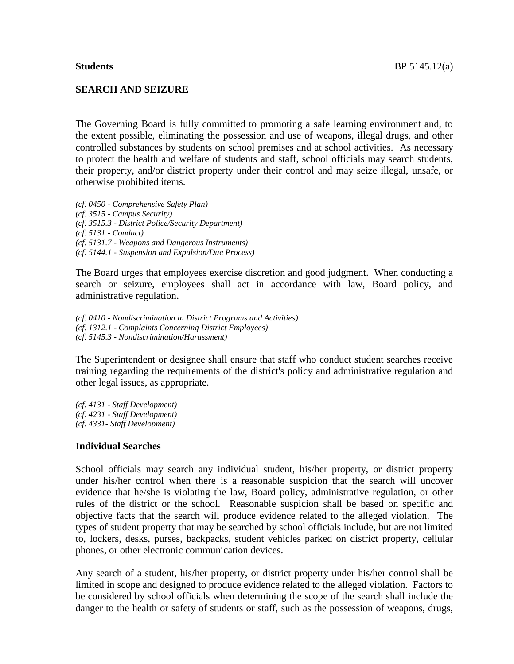### **SEARCH AND SEIZURE**

The Governing Board is fully committed to promoting a safe learning environment and, to the extent possible, eliminating the possession and use of weapons, illegal drugs, and other controlled substances by students on school premises and at school activities. As necessary to protect the health and welfare of students and staff, school officials may search students, their property, and/or district property under their control and may seize illegal, unsafe, or otherwise prohibited items.

*(cf. 0450 - Comprehensive Safety Plan) (cf. 3515 - Campus Security) (cf. 3515.3 - District Police/Security Department) (cf. 5131 - Conduct) (cf. 5131.7 - Weapons and Dangerous Instruments) (cf. 5144.1 - Suspension and Expulsion/Due Process)*

The Board urges that employees exercise discretion and good judgment. When conducting a search or seizure, employees shall act in accordance with law, Board policy, and administrative regulation.

*(cf. 0410 - Nondiscrimination in District Programs and Activities) (cf. 1312.1 - Complaints Concerning District Employees) (cf. 5145.3 - Nondiscrimination/Harassment)*

The Superintendent or designee shall ensure that staff who conduct student searches receive training regarding the requirements of the district's policy and administrative regulation and other legal issues, as appropriate.

*(cf. 4131 - Staff Development) (cf. 4231 - Staff Development) (cf. 4331- Staff Development)*

### **Individual Searches**

School officials may search any individual student, his/her property, or district property under his/her control when there is a reasonable suspicion that the search will uncover evidence that he/she is violating the law, Board policy, administrative regulation, or other rules of the district or the school. Reasonable suspicion shall be based on specific and objective facts that the search will produce evidence related to the alleged violation. The types of student property that may be searched by school officials include, but are not limited to, lockers, desks, purses, backpacks, student vehicles parked on district property, cellular phones, or other electronic communication devices.

Any search of a student, his/her property, or district property under his/her control shall be limited in scope and designed to produce evidence related to the alleged violation. Factors to be considered by school officials when determining the scope of the search shall include the danger to the health or safety of students or staff, such as the possession of weapons, drugs,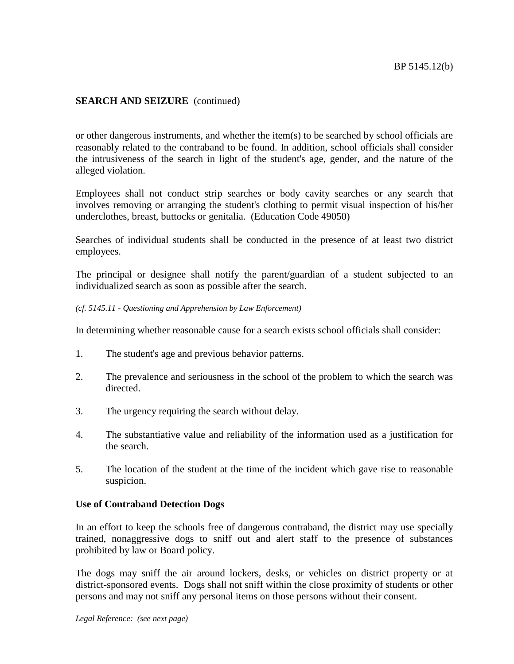## **SEARCH AND SEIZURE** (continued)

or other dangerous instruments, and whether the item(s) to be searched by school officials are reasonably related to the contraband to be found. In addition, school officials shall consider the intrusiveness of the search in light of the student's age, gender, and the nature of the alleged violation.

Employees shall not conduct strip searches or body cavity searches or any search that involves removing or arranging the student's clothing to permit visual inspection of his/her underclothes, breast, buttocks or genitalia. (Education Code 49050)

Searches of individual students shall be conducted in the presence of at least two district employees.

The principal or designee shall notify the parent/guardian of a student subjected to an individualized search as soon as possible after the search.

#### *(cf. 5145.11 - Questioning and Apprehension by Law Enforcement)*

In determining whether reasonable cause for a search exists school officials shall consider:

- 1. The student's age and previous behavior patterns.
- 2. The prevalence and seriousness in the school of the problem to which the search was directed.
- 3. The urgency requiring the search without delay.
- 4. The substantiative value and reliability of the information used as a justification for the search.
- 5. The location of the student at the time of the incident which gave rise to reasonable suspicion.

### **Use of Contraband Detection Dogs**

In an effort to keep the schools free of dangerous contraband, the district may use specially trained, nonaggressive dogs to sniff out and alert staff to the presence of substances prohibited by law or Board policy.

The dogs may sniff the air around lockers, desks, or vehicles on district property or at district-sponsored events. Dogs shall not sniff within the close proximity of students or other persons and may not sniff any personal items on those persons without their consent.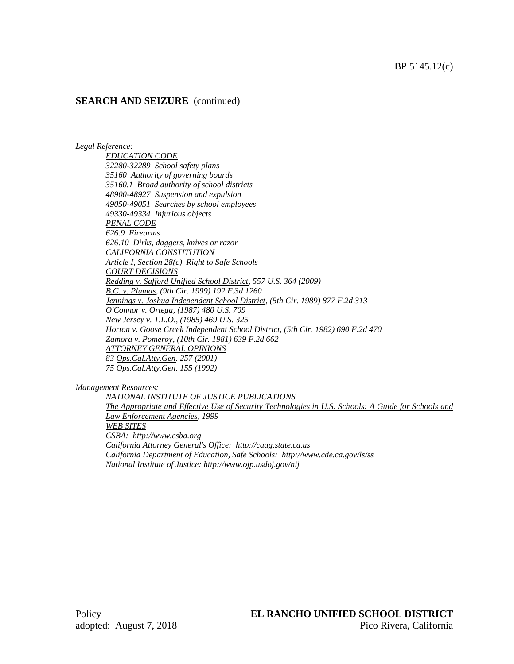## **SEARCH AND SEIZURE** (continued)

*Legal Reference:*

*EDUCATION CODE 32280-32289 School safety plans 35160 Authority of governing boards 35160.1 Broad authority of school districts 48900-48927 Suspension and expulsion 49050-49051 Searches by school employees 49330-49334 Injurious objects PENAL CODE 626.9 Firearms 626.10 Dirks, daggers, knives or razor CALIFORNIA CONSTITUTION Article I, Section 28(c) Right to Safe Schools COURT DECISIONS Redding v. Safford Unified School District, 557 U.S. 364 (2009) B.C. v. Plumas, (9th Cir. 1999) 192 F.3d 1260 Jennings v. Joshua Independent School District, (5th Cir. 1989) 877 F.2d 313 O'Connor v. Ortega, (1987) 480 U.S. 709 New Jersey v. T.L.O., (1985) 469 U.S. 325 Horton v. Goose Creek Independent School District, (5th Cir. 1982) 690 F.2d 470 Zamora v. Pomeroy, (10th Cir. 1981) 639 F.2d 662 ATTORNEY GENERAL OPINIONS 83 Ops.Cal.Atty.Gen. 257 (2001) 75 Ops.Cal.Atty.Gen. 155 (1992)*

*Management Resources:*

*NATIONAL INSTITUTE OF JUSTICE PUBLICATIONS The Appropriate and Effective Use of Security Technologies in U.S. Schools: A Guide for Schools and Law Enforcement Agencies, 1999 WEB SITES CSBA: http://www.csba.org California Attorney General's Office: http://caag.state.ca.us California Department of Education, Safe Schools: http://www.cde.ca.gov/ls/ss National Institute of Justice: http://www.ojp.usdoj.gov/nij*